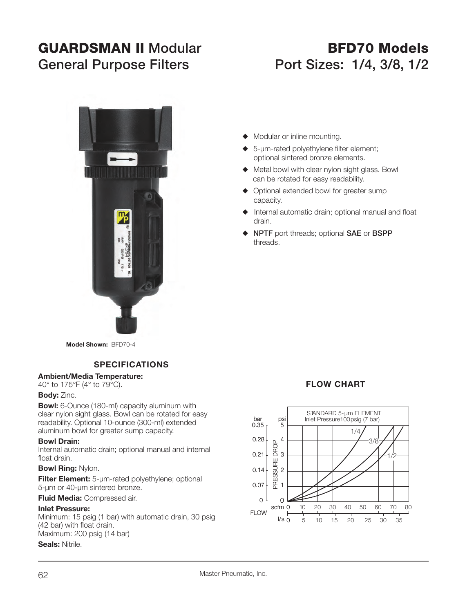# **GUARDSMAN II ModularGeneral Purpose Filters Port Sizes: 1/4, 3/8, 1/2**

# **BFD70 Models**



- $\blacklozenge$  Modular or inline mounting.
- $\triangle$  5-µm-rated polyethylene filter element; optional sintered bronze elements.
- $\blacklozenge$  Metal bowl with clear nylon sight glass. Bowl can be rotated for easy readability.
- $\blacklozenge$  Optional extended bowl for greater sump capacity.
- $\blacklozenge$  Internal automatic drain; optional manual and float drain.
- ◆ NPTF port threads; optional SAE or BSPP threads.

**Model Shown:** BFD70-4

# **SPECIFICATIONS**

#### **Ambient/Media Temperature:**

40° to 175°F (4° to 79°C).

#### **Body:** Zinc.

**Bowl:** 6-Ounce (180-ml) capacity aluminum with clear nylon sight glass. Bowl can be rotated for easy readability. Optional 10-ounce (300-ml) extended aluminum bowl for greater sump capacity.

#### **Bowl Drain:**

Internal automatic drain; optional manual and internal float drain.

#### **Bowl Ring:** Nylon.

**Filter Element:** 5-µm-rated polyethylene; optional 5-µm or 40-µm sintered bronze.

**Fluid Media:** Compressed air.

#### **Inlet Pressure:**

Minimum: 15 psig (1 bar) with automatic drain, 30 psig (42 bar) with float drain. Maximum: 200 psig (14 bar)

**Seals:** Nitrile.

## **FLOW CHART**